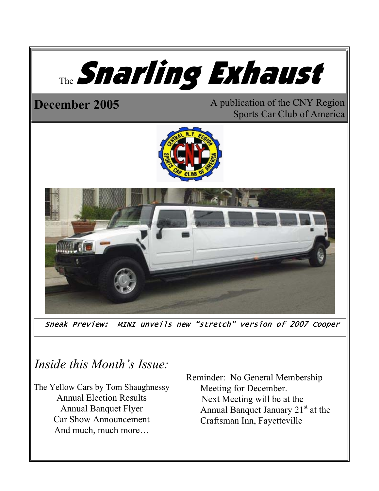

Sneak Preview: MINI unveils new "stretch" version of 2007 Cooper

# *Inside this Month's Issue:*

The Yellow Cars by Tom Shaughnessy Annual Election Results Annual Banquet Flyer Car Show Announcement And much, much more…

 Reminder: No General Membership Meeting for December. Next Meeting will be at the Annual Banquet January  $21<sup>st</sup>$  at the Craftsman Inn, Fayetteville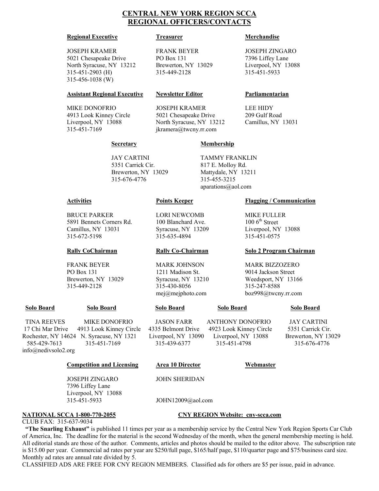### **CENTRAL NEW YORK REGION SCCA REGIONAL OFFICERS/CONTACTS**

#### **Regional Executive Treasurer Merchandise**

### JOSEPH KRAMER FRANK BEYER JOSEPH ZINGARO 5021 Chesapeake Drive PO Box 131 7396 Liffey Lane North Syracuse, NY 13212 Brewerton, NY 13029 Liverpool, NY 13088 315-451-2903 (H) 315-449-2128 315-451-5933 315-456-1038 (W)

#### **Assistant Regional Executive Newsletter Editor Parliamentarian**

 MIKE DONOFRIO JOSEPH KRAMER LEE HIDY 4913 Look Kinney Circle 5021 Chesapeake Drive 209 Gulf Road Liverpool, NY 13088 North Syracuse, NY 13212 Camillus, NY 13031 315-451-7169 jkramera@twcny.rr.com

 JAY CARTINI TAMMY FRANKLIN 5351 Carrick Cir. 817 E. Molloy Rd. Brewerton, NY 13029 Mattydale, NY 13211 315-676-4776 315-455-3215

### **Secretary Membership**

BRUCE PARKER LORI NEWCOMB MIKE FULLER<br>5891 Bennets Corners Rd. 100 Blanchard Ave. 100 6<sup>th</sup> Street 5891 Bennets Corners Rd. 100 Blanchard Ave. Camillus, NY 13031 Syracuse, NY 13209 Liverpool, NY 13088 315-672-5198 315-635-4894 315-451-0575

 FRANK BEYER MARK JOHNSON MARK BIZZOZERO PO Box 131 1211 Madison St. 9014 Jackson Street 315-449-2128 315-430-8056 315-247-8588

 TINA REEVES MIKE DONOFRIO JASON FARR ANTHONY DONOFRIO JAY CARTINI 17 Chi Mar Drive 4913 Look Kinney Circle 4335 Belmont Drive 4923 Look Kinney Circle 5351 Carrick Cir. Rochester, NY 14624 N. Syracuse, NY 1321 Liverpool, NY 13090 Liverpool, NY 13088 Brewerton, NY 13029 585-429-7613 315-451-7169 315-439-6377 315-451-4798 315-676-4776 info@nedivsolo2.org

#### **Competition and Licensing •• Area 10 Director •• Webmaster**

 JOSEPH ZINGARO JOHN SHERIDAN 7396 Liffey Lane Liverpool, NY 13088 315-451-5933 JOHN12009@aol.com

#### **NATIONAL SCCA 1-800-770-2055 CNY REGION Website: cny-scca.com**

CLUB FAX: 315-637-9034 **"The Snarling Exhaust"** is published 11 times per year as a membership service by the Central New York Region Sports Car Club of America, Inc. The deadline for the material is the second Wednesday of the month, when the general membership meeting is held. All editorial stands are those of the author. Comments, articles and photos should be mailed to the editor above. The subscription rate is \$15.00 per year. Commercial ad rates per year are \$250/full page, \$165/half page, \$110/quarter page and \$75/business card size. Monthly ad rates are annual rate divided by 5.

CLASSIFIED ADS ARE FREE FOR CNY REGION MEMBERS. Classified ads for others are \$5 per issue, paid in advance.

aparations@aol.com

### **Activities Points Keeper Flagging / Communication**

### **Rally CoChairman Rally Co-Chairman Solo 2 Program Chairman**

 Brewerton, NY 13029 Syracuse, NY 13210 Weedsport, NY 13166 mej@mejphoto.com boz998@twcny.rr.com

### **Solo Board Solo Board Solo Board Solo Board Solo Board**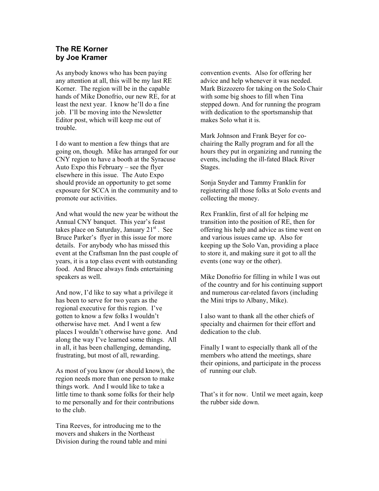### **The RE Korner by Joe Kramer**

As anybody knows who has been paying any attention at all, this will be my last RE Korner. The region will be in the capable hands of Mike Donofrio, our new RE, for at least the next year. I know he'll do a fine job. I'll be moving into the Newsletter Editor post, which will keep me out of trouble.

I do want to mention a few things that are going on, though. Mike has arranged for our CNY region to have a booth at the Syracuse Auto Expo this February – see the flyer elsewhere in this issue. The Auto Expo should provide an opportunity to get some exposure for SCCA in the community and to promote our activities.

And what would the new year be without the Annual CNY banquet. This year's feast takes place on Saturday, January  $21<sup>st</sup>$ . See Bruce Parker's flyer in this issue for more details. For anybody who has missed this event at the Craftsman Inn the past couple of years, it is a top class event with outstanding food. And Bruce always finds entertaining speakers as well.

And now, I'd like to say what a privilege it has been to serve for two years as the regional executive for this region. I've gotten to know a few folks I wouldn't otherwise have met. And I went a few places I wouldn't otherwise have gone. And along the way I've learned some things. All in all, it has been challenging, demanding, frustrating, but most of all, rewarding.

As most of you know (or should know), the region needs more than one person to make things work. And I would like to take a little time to thank some folks for their help to me personally and for their contributions to the club.

Tina Reeves, for introducing me to the movers and shakers in the Northeast Division during the round table and mini convention events. Also for offering her advice and help whenever it was needed. Mark Bizzozero for taking on the Solo Chair with some big shoes to fill when Tina stepped down. And for running the program with dedication to the sportsmanship that makes Solo what it is.

Mark Johnson and Frank Beyer for cochairing the Rally program and for all the hours they put in organizing and running the events, including the ill-fated Black River Stages.

Sonja Snyder and Tammy Franklin for registering all those folks at Solo events and collecting the money.

Rex Franklin, first of all for helping me transition into the position of RE, then for offering his help and advice as time went on and various issues came up. Also for keeping up the Solo Van, providing a place to store it, and making sure it got to all the events (one way or the other).

Mike Donofrio for filling in while I was out of the country and for his continuing support and numerous car-related favors (including the Mini trips to Albany, Mike).

I also want to thank all the other chiefs of specialty and chairmen for their effort and dedication to the club.

Finally I want to especially thank all of the members who attend the meetings, share their opinions, and participate in the process of running our club.

That's it for now. Until we meet again, keep the rubber side down.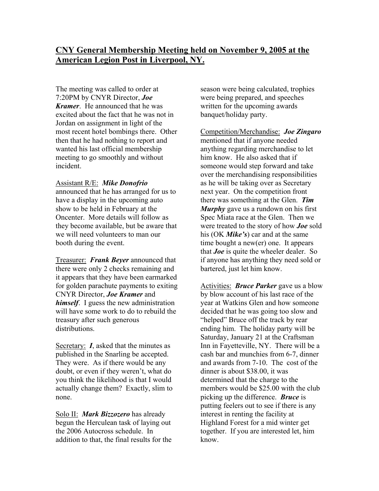The meeting was called to order at 7:20PM by CNYR Director, *Joe Kramer*. He announced that he was excited about the fact that he was not in Jordan on assignment in light of the most recent hotel bombings there. Other then that he had nothing to report and wanted his last official membership meeting to go smoothly and without incident.

### Assistant R/E: *Mike Donofrio*

announced that he has arranged for us to have a display in the upcoming auto show to be held in February at the Oncenter. More details will follow as they become available, but be aware that we will need volunteers to man our booth during the event.

Treasurer: *Frank Beyer* announced that there were only 2 checks remaining and it appears that they have been earmarked for golden parachute payments to exiting CNYR Director, *Joe Kramer* and *himself*. I guess the new administration will have some work to do to rebuild the treasury after such generous distributions.

Secretary: *I*, asked that the minutes as published in the Snarling be accepted. They were. As if there would be any doubt, or even if they weren't, what do you think the likelihood is that I would actually change them? Exactly, slim to none.

Solo II: *Mark Bizzozero* has already begun the Herculean task of laying out the 2006 Autocross schedule. In addition to that, the final results for the season were being calculated, trophies were being prepared, and speeches written for the upcoming awards banquet/holiday party.

Competition/Merchandise: *Joe Zingaro* mentioned that if anyone needed anything regarding merchandise to let him know. He also asked that if someone would step forward and take over the merchandising responsibilities as he will be taking over as Secretary next year. On the competition front there was something at the Glen. *Tim Murphy* gave us a rundown on his first Spec Miata race at the Glen. Then we were treated to the story of how *Joe* sold his (OK *Mike's*) car and at the same time bought a new(er) one. It appears that *Joe* is quite the wheeler dealer. So if anyone has anything they need sold or bartered, just let him know.

Activities: *Bruce Parker* gave us a blow by blow account of his last race of the year at Watkins Glen and how someone decided that he was going too slow and "helped" Bruce off the track by rear ending him. The holiday party will be Saturday, January 21 at the Craftsman Inn in Fayetteville, NY. There will be a cash bar and munchies from 6-7, dinner and awards from 7-10. The cost of the dinner is about \$38.00, it was determined that the charge to the members would be \$25.00 with the club picking up the difference. *Bruce* is putting feelers out to see if there is any interest in renting the facility at Highland Forest for a mid winter get together. If you are interested let, him know.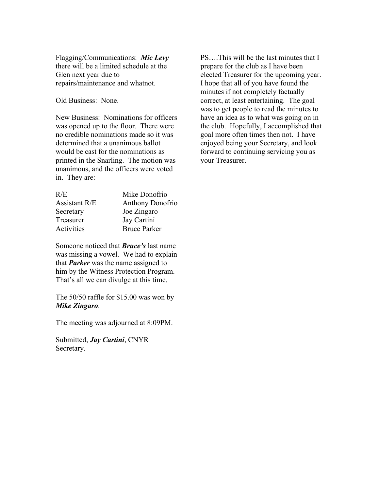Flagging/Communications: *Mic Levy* there will be a limited schedule at the Glen next year due to repairs/maintenance and whatnot.

### Old Business: None.

New Business: Nominations for officers was opened up to the floor. There were no credible nominations made so it was determined that a unanimous ballot would be cast for the nominations as printed in the Snarling. The motion was unanimous, and the officers were voted in. They are:

| Mike Donofrio           |
|-------------------------|
| <b>Anthony Donofrio</b> |
| Joe Zingaro             |
| Jay Cartini             |
| <b>Bruce Parker</b>     |
|                         |

Someone noticed that *Bruce's* last name was missing a vowel. We had to explain that *Parker* was the name assigned to him by the Witness Protection Program. That's all we can divulge at this time.

The 50/50 raffle for \$15.00 was won by *Mike Zingaro*.

The meeting was adjourned at 8:09PM.

Submitted, *Jay Cartini*, CNYR Secretary.

PS….This will be the last minutes that I prepare for the club as I have been elected Treasurer for the upcoming year. I hope that all of you have found the minutes if not completely factually correct, at least entertaining. The goal was to get people to read the minutes to have an idea as to what was going on in the club. Hopefully, I accomplished that goal more often times then not. I have enjoyed being your Secretary, and look forward to continuing servicing you as your Treasurer.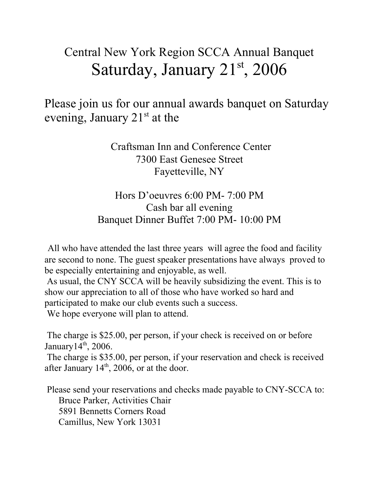# Central New York Region SCCA Annual Banquet Saturday, January  $21<sup>st</sup>$ , 2006

Please join us for our annual awards banquet on Saturday evening, January  $21<sup>st</sup>$  at the

> Craftsman Inn and Conference Center 7300 East Genesee Street Fayetteville, NY

## Hors D'oeuvres 6:00 PM- 7:00 PM Cash bar all evening Banquet Dinner Buffet 7:00 PM- 10:00 PM

All who have attended the last three years will agree the food and facility are second to none. The guest speaker presentations have always proved to be especially entertaining and enjoyable, as well.

 As usual, the CNY SCCA will be heavily subsidizing the event. This is to show our appreciation to all of those who have worked so hard and participated to make our club events such a success.

We hope everyone will plan to attend.

 The charge is \$25.00, per person, if your check is received on or before January $14^{th}$ , 2006.

 The charge is \$35.00, per person, if your reservation and check is received after January  $14<sup>th</sup>$ , 2006, or at the door.

 Please send your reservations and checks made payable to CNY-SCCA to: Bruce Parker, Activities Chair 5891 Bennetts Corners Road Camillus, New York 13031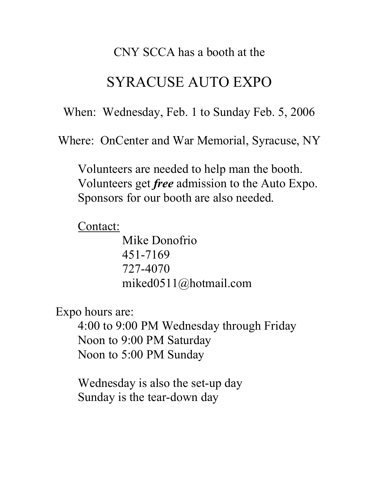## CNY SCCA has a booth at the

# SYRACUSE AUTO EXPO

When: Wednesday, Feb. 1 to Sunday Feb. 5, 2006

Where: OnCenter and War Memorial, Syracuse, NY

Volunteers are needed to help man the booth. Volunteers get *free* admission to the Auto Expo. Sponsors for our booth are also needed.

Contact:

 Mike Donofrio 451-7169 727-4070 miked0511@hotmail.com

Expo hours are:

4:00 to 9:00 PM Wednesday through Friday Noon to 9:00 PM Saturday Noon to 5:00 PM Sunday

Wednesday is also the set-up day Sunday is the tear-down day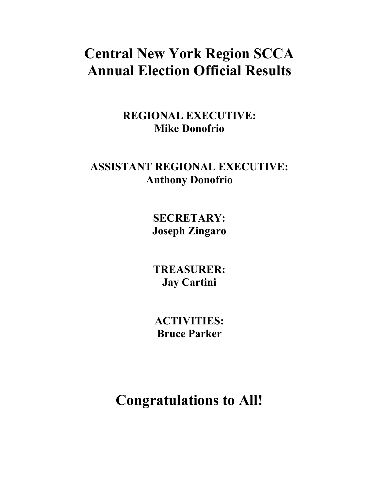# **Central New York Region SCCA Annual Election Official Results**

**REGIONAL EXECUTIVE: Mike Donofrio** 

## **ASSISTANT REGIONAL EXECUTIVE: Anthony Donofrio**

**SECRETARY: Joseph Zingaro** 

**TREASURER: Jay Cartini** 

**ACTIVITIES: Bruce Parker** 

**Congratulations to All!**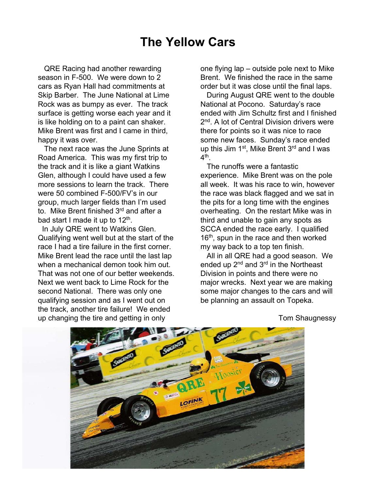## **The Yellow Cars**

QRE Racing had another rewarding season in F-500. We were down to 2 cars as Ryan Hall had commitments at Skip Barber. The June National at Lime Rock was as bumpy as ever. The track surface is getting worse each year and it is like holding on to a paint can shaker. Mike Brent was first and I came in third, happy it was over.

The next race was the June Sprints at Road America. This was my first trip to the track and it is like a giant Watkins Glen, although I could have used a few more sessions to learn the track. There were 50 combined F-500/FV's in our group, much larger fields than I'm used to. Mike Brent finished 3<sup>rd</sup> and after a bad start I made it up to  $12<sup>th</sup>$ .

In July QRE went to Watkins Glen. Qualifying went well but at the start of the race I had a tire failure in the first corner. Mike Brent lead the race until the last lap when a mechanical demon took him out. That was not one of our better weekends. Next we went back to Lime Rock for the second National. There was only one qualifying session and as I went out on the track, another tire failure! We ended up changing the tire and getting in only

one flying lap – outside pole next to Mike Brent. We finished the race in the same order but it was close until the final laps.

During August QRE went to the double National at Pocono. Saturday's race ended with Jim Schultz first and I finished 2<sup>nd</sup>. A lot of Central Division drivers were there for points so it was nice to race some new faces. Sunday's race ended up this Jim 1<sup>st</sup>, Mike Brent 3<sup>rd</sup> and I was  $4<sup>th</sup>$ 

The runoffs were a fantastic experience. Mike Brent was on the pole all week. It was his race to win, however the race was black flagged and we sat in the pits for a long time with the engines overheating. On the restart Mike was in third and unable to gain any spots as SCCA ended the race early. I qualified 16<sup>th</sup>, spun in the race and then worked my way back to a top ten finish.

All in all QRE had a good season. We ended up 2<sup>nd</sup> and 3<sup>rd</sup> in the Northeast Division in points and there were no major wrecks. Next year we are making some major changes to the cars and will be planning an assault on Topeka.



Tom Shaugnessy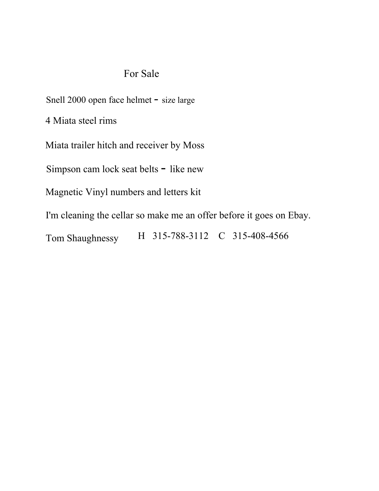## For Sale

Snell 2000 open face helmet - size large

4 Miata steel rims

Miata trailer hitch and receiver by Moss

Simpson cam lock seat belts - like new

Magnetic Vinyl numbers and letters kit

I'm cleaning the cellar so make me an offer before it goes on Ebay.

Tom Shaughnessy H 315-788-3112 C 315-408-4566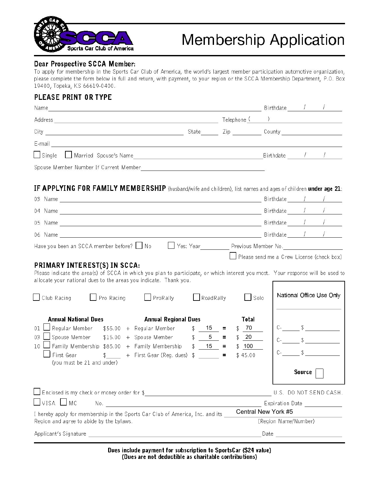

# **Membership Application**

### **Dear Prospective SCCA Member:**

To apply for membership in the Sports Car Club of America, the world's largest member participation automotive organization, please complete the form below in full and return, with payment, to your region or the SCCA Membership Department, P.O. Box 19400, Topeka, KS 66619-0400.

### PLEASE PRINT OR TYPE

| Name                                   |       |                  | Birthdate |  |
|----------------------------------------|-------|------------------|-----------|--|
| Address                                |       | Telephone (      |           |  |
| City                                   | State | Zip <sub>r</sub> | County    |  |
| E-mail                                 |       |                  |           |  |
| $\Box$ Single<br>Married Spouse's Name |       |                  | Birthdate |  |
| Spouse Member Number If Current Member |       |                  |           |  |

### IF APPLYING FOR FAMILY MEMBERSHIP (husband/wife and children), list names and ages of children under age 21:

|                                                                                                                                                                                                                                                                                                                                                                                            | $Birthdate$ / /                                                                                                                                                                                                                                                                                                                                                                                                                                                              |  |  |
|--------------------------------------------------------------------------------------------------------------------------------------------------------------------------------------------------------------------------------------------------------------------------------------------------------------------------------------------------------------------------------------------|------------------------------------------------------------------------------------------------------------------------------------------------------------------------------------------------------------------------------------------------------------------------------------------------------------------------------------------------------------------------------------------------------------------------------------------------------------------------------|--|--|
|                                                                                                                                                                                                                                                                                                                                                                                            |                                                                                                                                                                                                                                                                                                                                                                                                                                                                              |  |  |
|                                                                                                                                                                                                                                                                                                                                                                                            |                                                                                                                                                                                                                                                                                                                                                                                                                                                                              |  |  |
|                                                                                                                                                                                                                                                                                                                                                                                            |                                                                                                                                                                                                                                                                                                                                                                                                                                                                              |  |  |
| Have you been an SCCA member before? No Nes: Year Near Previous Member No.                                                                                                                                                                                                                                                                                                                 |                                                                                                                                                                                                                                                                                                                                                                                                                                                                              |  |  |
|                                                                                                                                                                                                                                                                                                                                                                                            | Please send me a Crew License (check box)                                                                                                                                                                                                                                                                                                                                                                                                                                    |  |  |
| PRIMARY INTEREST(S) IN SCCA:<br>Please indicate the area(s) of SCCA in which you plan to participate, or which interest you most. Your response will be used to<br>allocate your national dues to the areas you indicate. Thank you.<br>Club Racing Pro Racing<br>PreRally<br>RoadRally<br>$\Box$ Solo                                                                                     | National Office Use Only                                                                                                                                                                                                                                                                                                                                                                                                                                                     |  |  |
| <b>Annual National Dues</b><br><b>Annual Regional Dues</b><br>Total<br>Regular Member $$55.00 + Regular Member$ $$15$<br>01<br>- 70<br>Spouse Member $$15.00 + Spouse Member$ $$ 5 =$<br>$03 -$<br>\$20<br>Family Membership $$85.00 + Family Membership$ \$ 15 =<br>$10-1$<br>\$100<br>First Gear $\uparrow$ + First Gear (Reg. dues) $\uparrow$<br>\$45.00<br>(you must be 21 and under) | $C$ - $\frac{1}{2}$ $\frac{1}{2}$ $\frac{1}{2}$ $\frac{1}{2}$ $\frac{1}{2}$ $\frac{1}{2}$ $\frac{1}{2}$ $\frac{1}{2}$ $\frac{1}{2}$ $\frac{1}{2}$ $\frac{1}{2}$ $\frac{1}{2}$ $\frac{1}{2}$ $\frac{1}{2}$ $\frac{1}{2}$ $\frac{1}{2}$ $\frac{1}{2}$ $\frac{1}{2}$ $\frac{1}{2}$ $\frac{1}{2}$ $\frac{1}{2}$ $\frac{1}{2$<br>$\mathbb{C}_{\mathbb{C}}\begin{array}{c}\longrightarrow\\[-10pt]\begin{array}{c}\text{if }\\[-10pt]\end{array}\end{array}$<br>$C$ - \$<br>Source |  |  |
| Enclosed is my check or money order for \$<br>$\Box$ visa $\Box$ mc                                                                                                                                                                                                                                                                                                                        | U.S. DO NOT SEND CASH.                                                                                                                                                                                                                                                                                                                                                                                                                                                       |  |  |
| I hereby apply for membership in the Sports Car Club of America, Inc. and its<br>Region and agree to abide by the bylaws.                                                                                                                                                                                                                                                                  | Central New York #5<br>(Region Name/Number)                                                                                                                                                                                                                                                                                                                                                                                                                                  |  |  |
|                                                                                                                                                                                                                                                                                                                                                                                            | Date and the contract of the contract of the contract of the contract of the contract of the contract of the contract of the contract of the contract of the contract of the contract of the contract of the contract of the c                                                                                                                                                                                                                                               |  |  |

Dues include payment for subscription to SportsCar (\$24 value) (Dues are not deductible as charitable contributions)